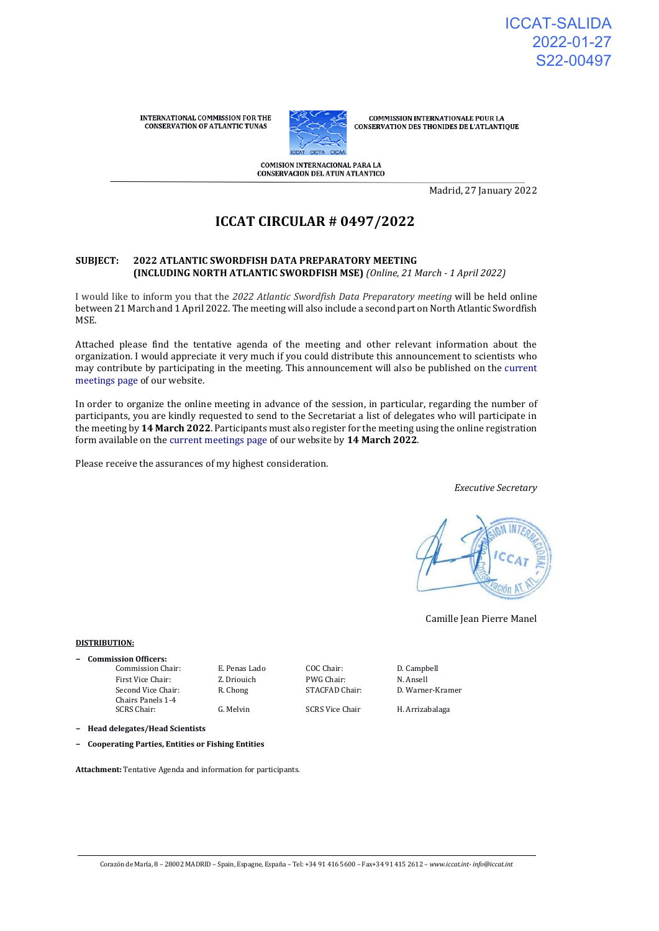INTERNATIONAL COMMISSION FOR THE **CONSERVATION OF ATLANTIC TUNAS** 



**COMMISSION INTERNATIONALE POUR LA** CONSERVATION DES THONIDES DE L'ATLANTIQUE

COMISION INTERNACIONAL PARA LA **CONSERVACION DEL ATUN ATLANTICO** 

Madrid, 27 January 2022

# **ICCAT CIRCULAR # 0497/2022**

#### **SUBJECT: 2022 ATLANTIC SWORDFISH DATA PREPARATORY MEETING (INCLUDING NORTH ATLANTIC SWORDFISH MSE)** *(Online, 21 March - 1 April 2022)*

I would like to inform you that the *2022 Atlantic Swordfish Data Preparatory meeting* will be held online between 21 March and 1 April 2022. The meeting will also include a second part on North Atlantic Swordfish MSE.

Attached please find the tentative agenda of the meeting and other relevant information about the organization. I would appreciate it very much if you could distribute this announcement to scientists who may contribute by participating in the meeting. This announcement will also be published on the [current](https://www.iccat.int/en/Meetings.html)  [meetings page o](https://www.iccat.int/en/Meetings.html)f our website.

In order to organize the online meeting in advance of the session, in particular, regarding the number of participants, you are kindly requested to send to the Secretariat a list of delegates who will participate in the meeting by **14 March 2022**. Participants must also register for the meeting using the online registration form available on the [current meetings page o](https://www.iccat.int/en/Meetings.html)f our website by **14 March 2022**.

Please receive the assurances of my highest consideration.

*Executive Secretary*



Camille Jean Pierre Manel

#### **DISTRIBUTION:**

- **− Commission Officers:**
	- Commission Chair: E. Penas Lado COC Chair: D. Campbell First Vice Chair: Z. Driouich PWG Chair: N. Ansell Second Vice Chair: Chairs Panels 1-4 SCRS Chair: G. Melvin SCRS Vice Chair H. Arrizabalaga
		-

R. Chong STACFAD Chair: D. Warner-Kramer

**− Head delegates/Head Scientists**

**− Cooperating Parties, Entities or Fishing Entities**

**Attachment:** Tentative Agenda and information for participants.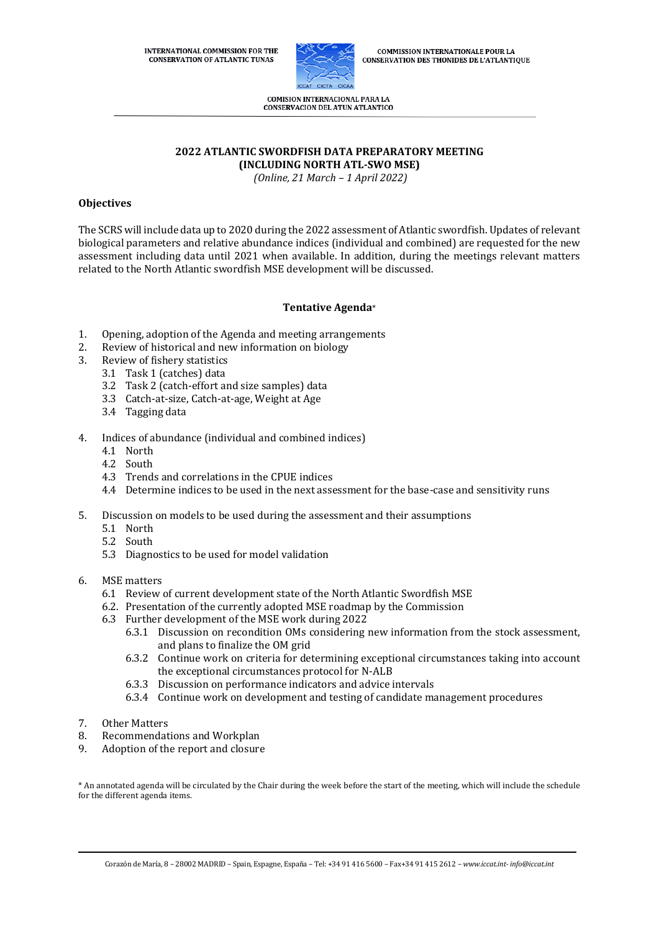**INTERNATIONAL COMMISSION FOR THE CONSERVATION OF ATLANTIC TUNAS** 



**COMMISSION INTERNATIONALE POUR LA CONSERVATION DES THONIDES DE L'ATLANTIQUE** 

COMISION INTERNACIONAL PARA LA **CONSERVACION DEL ATUN ATLANTICO** 

#### **2022 ATLANTIC SWORDFISH DATA PREPARATORY MEETING (INCLUDING NORTH ATL-SWO MSE)**

*(Online, 21 March – 1 April 2022)*

#### **Objectives**

The SCRS will include data up to 2020 during the 2022 assessment of Atlantic swordfish. Updates of relevant biological parameters and relative abundance indices (individual and combined) are requested for the new assessment including data until 2021 when available. In addition, during the meetings relevant matters related to the North Atlantic swordfish MSE development will be discussed.

#### **Tentative Agenda**\*

- 1. Opening, adoption of the Agenda and meeting arrangements
- 2. Review of historical and new information on biology
- 3. Review of fishery statistics
	- 3.1 Task 1 (catches) data
	- 3.2 Task 2 (catch-effort and size samples) data
	- 3.3 Catch-at-size, Catch-at-age, Weight at Age
	- 3.4 Tagging data
- 4. Indices of abundance (individual and combined indices)
	- 4.1 North
	- 4.2 South
	- 4.3 Trends and correlations in the CPUE indices
	- 4.4 Determine indices to be used in the next assessment for the base-case and sensitivity runs
- 5. Discussion on models to be used during the assessment and their assumptions
	- 5.1 North
	- 5.2 South
	- 5.3 Diagnostics to be used for model validation
- 6. MSE matters
	- 6.1 Review of current development state of the North Atlantic Swordfish MSE
	- 6.2. Presentation of the currently adopted MSE roadmap by the Commission
	- 6.3 Further development of the MSE work during 2022
		- 6.3.1 Discussion on recondition OMs considering new information from the stock assessment, and plans to finalize the OM grid
		- 6.3.2 Continue work on criteria for determining exceptional circumstances taking into account the exceptional circumstances protocol for N-ALB
		- 6.3.3 Discussion on performance indicators and advice intervals
		- 6.3.4 Continue work on development and testing of candidate management procedures
- 7. Other Matters
- 8. Recommendations and Workplan
- 9. Adoption of the report and closure

\* An annotated agenda will be circulated by the Chair during the week before the start of the meeting, which will include the schedule for the different agenda items.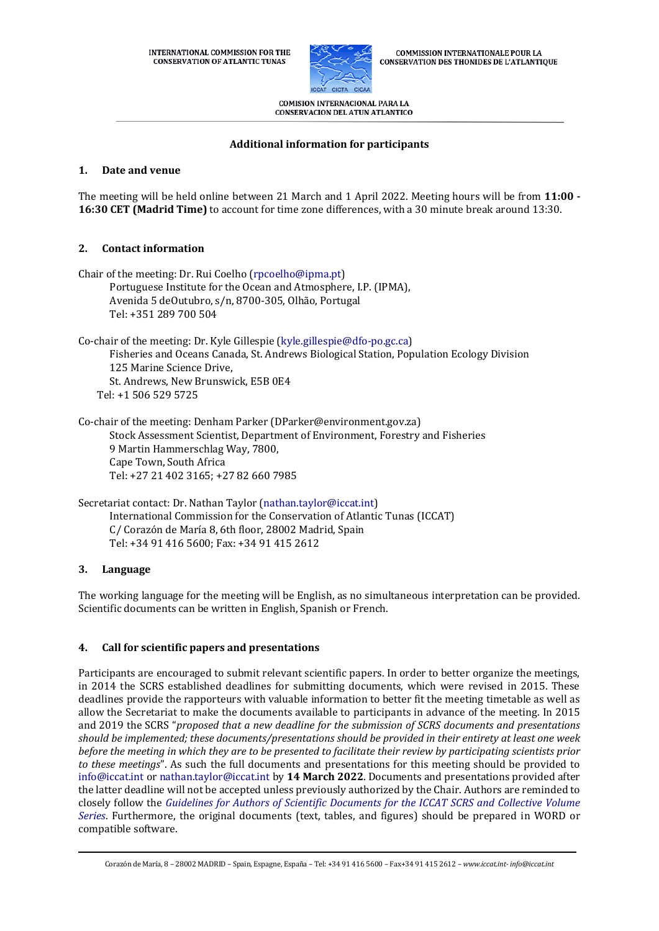

**COMMISSION INTERNATIONALE POUR LA CONSERVATION DES THONIDES DE L'ATLANTIQUE** 

**COMISION INTERNACIONAL PARA LA CONSERVACION DEL ATUN ATLANTICO** 

### **Additional information for participants**

#### **1. Date and venue**

The meeting will be held online between 21 March and 1 April 2022. Meeting hours will be from **11:00 - 16:30 CET (Madrid Time)** to account for time zone differences, with a 30 minute break around 13:30.

### **2. Contact information**

| Chair of the meeting: Dr. Rui Coelho (rpcoelho@ipma.pt)<br>Portuguese Institute for the Ocean and Atmosphere, I.P. (IPMA),<br>Avenida 5 deOutubro, s/n, 8700-305, Olhão, Portugal<br>Tel: +351 289 700 504                                                        |
|-------------------------------------------------------------------------------------------------------------------------------------------------------------------------------------------------------------------------------------------------------------------|
| Co-chair of the meeting: Dr. Kyle Gillespie (kyle.gillespie@dfo-po.gc.ca)<br>Fisheries and Oceans Canada, St. Andrews Biological Station, Population Ecology Division<br>125 Marine Science Drive,<br>St. Andrews, New Brunswick, E5B 0E4<br>Tel: +1 506 529 5725 |
| Co-chair of the meeting: Denham Parker (DParker@environment.gov.za)<br>Stock Assessment Scientist, Department of Environment, Forestry and Fisheries<br>9 Martin Hammerschlag Way, 7800,<br>Cape Town, South Africa<br>Tel: +27 21 402 3165; +27 82 660 7985      |

Secretariat contact: Dr. Nathan Taylor [\(nathan.taylor@iccat.int\)](mailto:mauricio.ortiz@iccat.int) International Commission for the Conservation of Atlantic Tunas (ICCAT) C/ Corazón de María 8, 6th floor, 28002 Madrid, Spain Tel: +34 91 416 5600; Fax: +34 91 415 2612

#### **3. Language**

The working language for the meeting will be English, as no simultaneous interpretation can be provided. Scientific documents can be written in English, Spanish or French.

## **4. Call for scientific papers and presentations**

Participants are encouraged to submit relevant scientific papers. In order to better organize the meetings, in 2014 the SCRS established deadlines for submitting documents, which were revised in 2015. These deadlines provide the rapporteurs with valuable information to better fit the meeting timetable as well as allow the Secretariat to make the documents available to participants in advance of the meeting. In 2015 and 2019 the SCRS "*proposed that a new deadline for the submission of SCRS documents and presentations should be implemented; these documents/presentations should be provided in their entirety at least one week before the meeting in which they are to be presented to facilitate their review by participating scientists prior to these meetings*". As such the full documents and presentations for this meeting should be provided to [info@iccat.int](mailto:info@iccat.int) or [nathan.taylor@iccat.int](mailto:mauricio.ortiz@iccat.int) by **14 March 2022**. Documents and presentations provided after the latter deadline will not be accepted unless previously authorized by the Chair. Authors are reminded to closely follow the *[Guidelines for Authors of Scientific Documents for the ICCAT SCRS and Collective Volume](https://www.iccat.int/Documents/SCRS/Other/Guide_ColVol_ENG.pdf)  [Series](https://www.iccat.int/Documents/SCRS/Other/Guide_ColVol_ENG.pdf)*. Furthermore, the original documents (text, tables, and figures) should be prepared in WORD or compatible software.